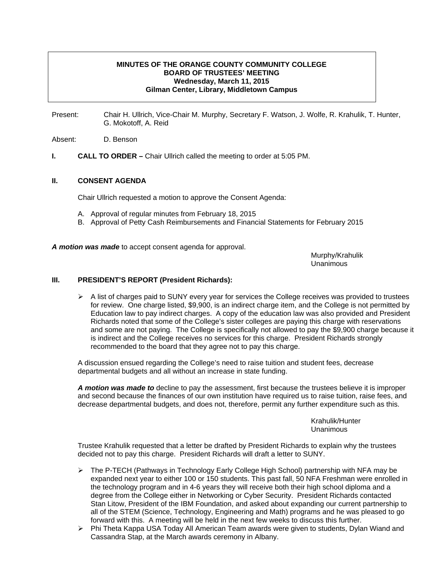## **MINUTES OF THE ORANGE COUNTY COMMUNITY COLLEGE BOARD OF TRUSTEES' MEETING Wednesday, March 11, 2015 Gilman Center, Library, Middletown Campus**

Present: Chair H. Ullrich, Vice-Chair M. Murphy, Secretary F. Watson, J. Wolfe, R. Krahulik, T. Hunter, G. Mokotoff, A. Reid

Absent: D. Benson

**I.** CALL TO ORDER – Chair Ullrich called the meeting to order at 5:05 PM.

#### **II. CONSENT AGENDA**

Chair Ullrich requested a motion to approve the Consent Agenda:

- A. Approval of regular minutes from February 18, 2015
- B. Approval of Petty Cash Reimbursements and Financial Statements for February 2015

*A motion was made* to accept consent agenda for approval.

Murphy/Krahulik<br>Unanimous Unanimous

#### **III. PRESIDENT'S REPORT (President Richards):**

 $\triangleright$  A list of charges paid to SUNY every year for services the College receives was provided to trustees for review. One charge listed, \$9,900, is an indirect charge item, and the College is not permitted by Education law to pay indirect charges. A copy of the education law was also provided and President Richards noted that some of the College's sister colleges are paying this charge with reservations and some are not paying. The College is specifically not allowed to pay the \$9,900 charge because it is indirect and the College receives no services for this charge. President Richards strongly recommended to the board that they agree not to pay this charge.

A discussion ensued regarding the College's need to raise tuition and student fees, decrease departmental budgets and all without an increase in state funding.

*A motion was made to* decline to pay the assessment, first because the trustees believe it is improper and second because the finances of our own institution have required us to raise tuition, raise fees, and decrease departmental budgets, and does not, therefore, permit any further expenditure such as this.

> Krahulik/Hunter Unanimous

Trustee Krahulik requested that a letter be drafted by President Richards to explain why the trustees decided not to pay this charge. President Richards will draft a letter to SUNY.

- ¾ The P-TECH (Pathways in Technology Early College High School) partnership with NFA may be expanded next year to either 100 or 150 students. This past fall, 50 NFA Freshman were enrolled in the technology program and in 4-6 years they will receive both their high school diploma and a degree from the College either in Networking or Cyber Security. President Richards contacted Stan Litow, President of the IBM Foundation, and asked about expanding our current partnership to all of the STEM (Science, Technology, Engineering and Math) programs and he was pleased to go forward with this. A meeting will be held in the next few weeks to discuss this further.
- $\triangleright$  Phi Theta Kappa USA Today All American Team awards were given to students, Dylan Wiand and Cassandra Stap, at the March awards ceremony in Albany.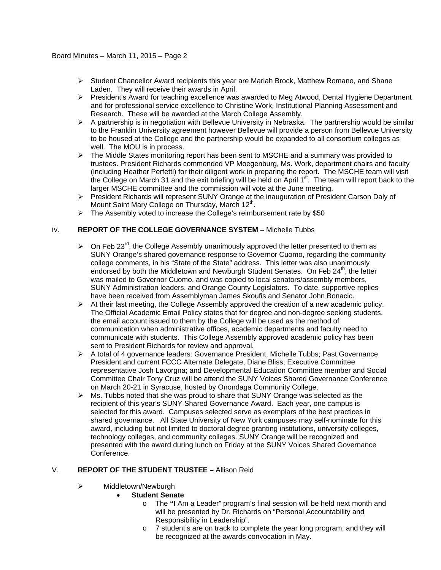# Board Minutes – March 11, 2015 – Page 2

- $\triangleright$  Student Chancellor Award recipients this year are Mariah Brock, Matthew Romano, and Shane Laden. They will receive their awards in April.
- ¾ President's Award for teaching excellence was awarded to Meg Atwood, Dental Hygiene Department and for professional service excellence to Christine Work, Institutional Planning Assessment and Research. These will be awarded at the March College Assembly.
- $\triangleright$  A partnership is in negotiation with Bellevue University in Nebraska. The partnership would be similar to the Franklin University agreement however Bellevue will provide a person from Bellevue University to be housed at the College and the partnership would be expanded to all consortium colleges as well. The MOU is in process.
- ¾ The Middle States monitoring report has been sent to MSCHE and a summary was provided to trustees. President Richards commended VP Moegenburg, Ms. Work, department chairs and faculty (including Heather Perfetti) for their diligent work in preparing the report. The MSCHE team will visit the College on March 31 and the exit briefing will be held on April  $1<sup>st</sup>$ . The team will report back to the larger MSCHE committee and the commission will vote at the June meeting.
- ¾ President Richards will represent SUNY Orange at the inauguration of President Carson Daly of Mount Saint Mary College on Thursday, March 12<sup>th</sup>.
- $\triangleright$  The Assembly voted to increase the College's reimbursement rate by \$50

## IV. **REPORT OF THE COLLEGE GOVERNANCE SYSTEM –** Michelle Tubbs

- $\triangleright$  On Feb 23<sup>rd</sup>, the College Assembly unanimously approved the letter presented to them as SUNY Orange's shared governance response to Governor Cuomo, regarding the community college comments, in his "State of the State" address. This letter was also unanimously endorsed by both the Middletown and Newburgh Student Senates. On Feb  $24<sup>th</sup>$ , the letter was mailed to Governor Cuomo, and was copied to local senators/assembly members, SUNY Administration leaders, and Orange County Legislators. To date, supportive replies have been received from Assemblyman James Skoufis and Senator John Bonacic.
- $\triangleright$  At their last meeting, the College Assembly approved the creation of a new academic policy. The Official Academic Email Policy states that for degree and non-degree seeking students, the email account issued to them by the College will be used as the method of communication when administrative offices, academic departments and faculty need to communicate with students. This College Assembly approved academic policy has been sent to President Richards for review and approval.
- ¾ A total of 4 governance leaders: Governance President, Michelle Tubbs; Past Governance President and current FCCC Alternate Delegate, Diane Bliss; Executive Committee representative Josh Lavorgna; and Developmental Education Committee member and Social Committee Chair Tony Cruz will be attend the SUNY Voices Shared Governance Conference on March 20-21 in Syracuse, hosted by Onondaga Community College.
- $\triangleright$  Ms. Tubbs noted that she was proud to share that SUNY Orange was selected as the recipient of this year's SUNY Shared Governance Award. Each year, one campus is selected for this award. Campuses selected serve as exemplars of the best practices in shared governance. All State University of New York campuses may self-nominate for this award, including but not limited to doctoral degree granting institutions, university colleges, technology colleges, and community colleges. SUNY Orange will be recognized and presented with the award during lunch on Friday at the SUNY Voices Shared Governance Conference.

#### V. **REPORT OF THE STUDENT TRUSTEE –** Allison Reid

- ¾ Middletown/Newburgh
	- • **Student Senate** 
		- o The **"**I Am a Leader" program's final session will be held next month and will be presented by Dr. Richards on "Personal Accountability and Responsibility in Leadership".
		- o 7 student's are on track to complete the year long program, and they will be recognized at the awards convocation in May.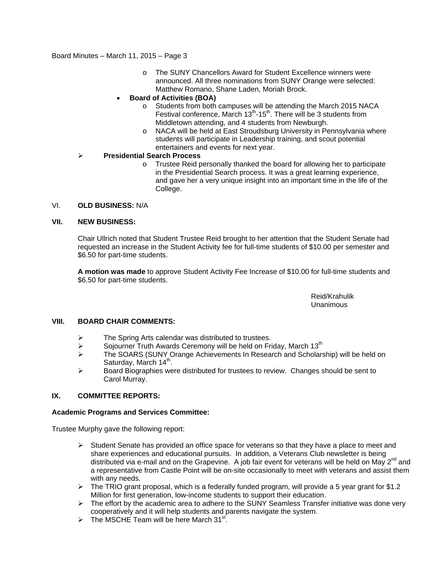### Board Minutes – March 11, 2015 – Page 3

o The SUNY Chancellors Award for Student Excellence winners were announced. All three nominations from SUNY Orange were selected: Matthew Romano, Shane Laden, Moriah Brock.

# • **Board of Activities (BOA)**

- o Students from both campuses will be attending the March 2015 NACA Festival conference, March  $13<sup>th</sup>$ -15<sup>th</sup>. There will be 3 students from Middletown attending, and 4 students from Newburgh.
- o NACA will be held at East Stroudsburg University in Pennsylvania where students will participate in Leadership training, and scout potential entertainers and events for next year.

# ¾ **Presidential Search Process**

o Trustee Reid personally thanked the board for allowing her to participate in the Presidential Search process. It was a great learning experience, and gave her a very unique insight into an important time in the life of the College.

## VI. **OLD BUSINESS:** N/A

## **VII. NEW BUSINESS:**

Chair Ullrich noted that Student Trustee Reid brought to her attention that the Student Senate had requested an increase in the Student Activity fee for full-time students of \$10.00 per semester and \$6.50 for part-time students.

**A motion was made** to approve Student Activity Fee Increase of \$10.00 for full-time students and \$6.50 for part-time students.

> Reid/Krahulik Unanimous

#### **VIII. BOARD CHAIR COMMENTS:**

- $\triangleright$  The Spring Arts calendar was distributed to trustees.
- $\triangleright$  Sojourner Truth Awards Ceremony will be held on Friday, March 13<sup>th</sup>
- ¾ The SOARS (SUNY Orange Achievements In Research and Scholarship) will be held on Saturday, March 14<sup>th</sup>.
- ¾ Board Biographies were distributed for trustees to review. Changes should be sent to Carol Murray.

## **IX. COMMITTEE REPORTS:**

#### **Academic Programs and Services Committee:**

Trustee Murphy gave the following report:

- $\triangleright$  Student Senate has provided an office space for veterans so that they have a place to meet and share experiences and educational pursuits. In addition, a Veterans Club newsletter is being distributed via e-mail and on the Grapevine. A job fair event for veterans will be held on May 2<sup>nd</sup> and a representative from Castle Point will be on-site occasionally to meet with veterans and assist them with any needs.
- $\triangleright$  The TRIO grant proposal, which is a federally funded program, will provide a 5 year grant for \$1.2 Million for first generation, low-income students to support their education.
- $\triangleright$  The effort by the academic area to adhere to the SUNY Seamless Transfer initiative was done very cooperatively and it will help students and parents navigate the system.
- $\triangleright$  The MSCHE Team will be here March 31<sup>st</sup>.